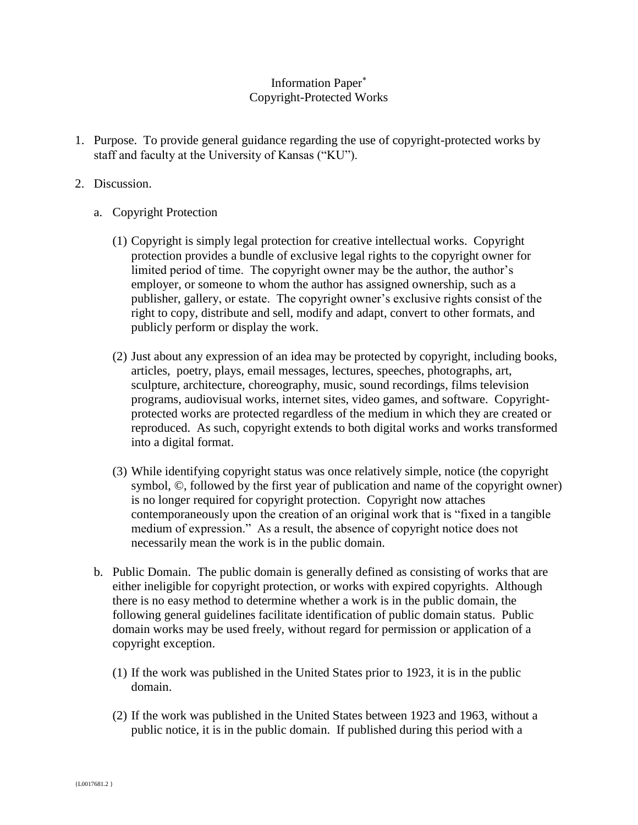## Information Paper Copyright-Protected Works

- 1. Purpose. To provide general guidance regarding the use of copyright-protected works by staff and faculty at the University of Kansas ("KU").
- 2. Discussion.
	- a. Copyright Protection
		- (1) Copyright is simply legal protection for creative intellectual works. Copyright protection provides a bundle of exclusive legal rights to the copyright owner for limited period of time. The copyright owner may be the author, the author's employer, or someone to whom the author has assigned ownership, such as a publisher, gallery, or estate. The copyright owner's exclusive rights consist of the right to copy, distribute and sell, modify and adapt, convert to other formats, and publicly perform or display the work.
		- (2) Just about any expression of an idea may be protected by copyright, including books, articles, poetry, plays, email messages, lectures, speeches, photographs, art, sculpture, architecture, choreography, music, sound recordings, films television programs, audiovisual works, internet sites, video games, and software. Copyrightprotected works are protected regardless of the medium in which they are created or reproduced. As such, copyright extends to both digital works and works transformed into a digital format.
		- (3) While identifying copyright status was once relatively simple, notice (the copyright symbol, ©, followed by the first year of publication and name of the copyright owner) is no longer required for copyright protection. Copyright now attaches contemporaneously upon the creation of an original work that is "fixed in a tangible medium of expression." As a result, the absence of copyright notice does not necessarily mean the work is in the public domain.
	- b. Public Domain. The public domain is generally defined as consisting of works that are either ineligible for copyright protection, or works with expired copyrights. Although there is no easy method to determine whether a work is in the public domain, the following general guidelines facilitate identification of public domain status. Public domain works may be used freely, without regard for permission or application of a copyright exception.
		- (1) If the work was published in the United States prior to 1923, it is in the public domain.
		- (2) If the work was published in the United States between 1923 and 1963, without a public notice, it is in the public domain. If published during this period with a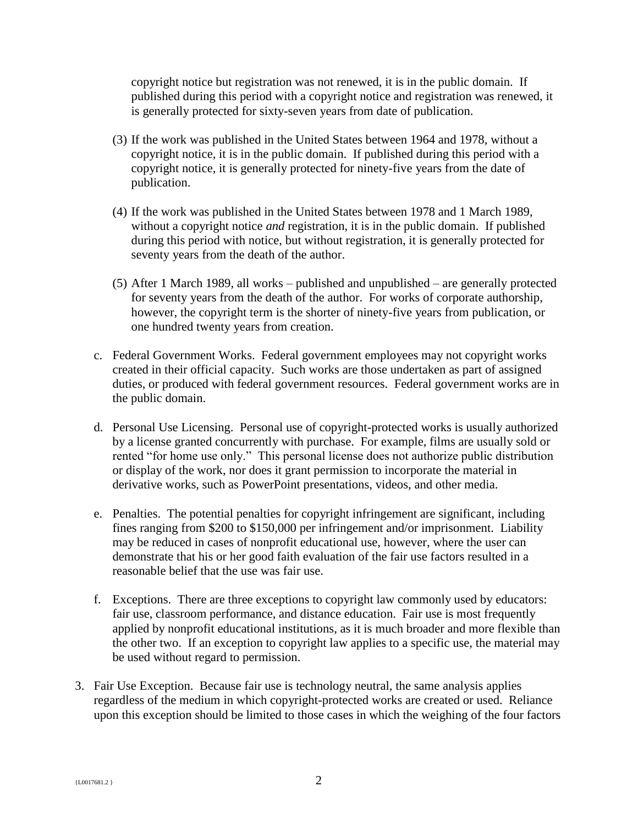copyright notice but registration was not renewed, it is in the public domain. If published during this period with a copyright notice and registration was renewed, it is generally protected for sixty-seven years from date of publication.

- (3) If the work was published in the United States between 1964 and 1978, without a copyright notice, it is in the public domain. If published during this period with a copyright notice, it is generally protected for ninety-five years from the date of publication.
- (4) If the work was published in the United States between 1978 and 1 March 1989, without a copyright notice *and* registration, it is in the public domain. If published during this period with notice, but without registration, it is generally protected for seventy years from the death of the author.
- (5) After 1 March 1989, all works published and unpublished are generally protected for seventy years from the death of the author. For works of corporate authorship, however, the copyright term is the shorter of ninety-five years from publication, or one hundred twenty years from creation.
- c. Federal Government Works. Federal government employees may not copyright works created in their official capacity. Such works are those undertaken as part of assigned duties, or produced with federal government resources. Federal government works are in the public domain.
- d. Personal Use Licensing. Personal use of copyright-protected works is usually authorized by a license granted concurrently with purchase. For example, films are usually sold or rented "for home use only." This personal license does not authorize public distribution or display of the work, nor does it grant permission to incorporate the material in derivative works, such as PowerPoint presentations, videos, and other media.
- e. Penalties. The potential penalties for copyright infringement are significant, including fines ranging from \$200 to \$150,000 per infringement and/or imprisonment. Liability may be reduced in cases of nonprofit educational use, however, where the user can demonstrate that his or her good faith evaluation of the fair use factors resulted in a reasonable belief that the use was fair use.
- f. Exceptions. There are three exceptions to copyright law commonly used by educators: fair use, classroom performance, and distance education. Fair use is most frequently applied by nonprofit educational institutions, as it is much broader and more flexible than the other two. If an exception to copyright law applies to a specific use, the material may be used without regard to permission.
- 3. Fair Use Exception. Because fair use is technology neutral, the same analysis applies regardless of the medium in which copyright-protected works are created or used. Reliance upon this exception should be limited to those cases in which the weighing of the four factors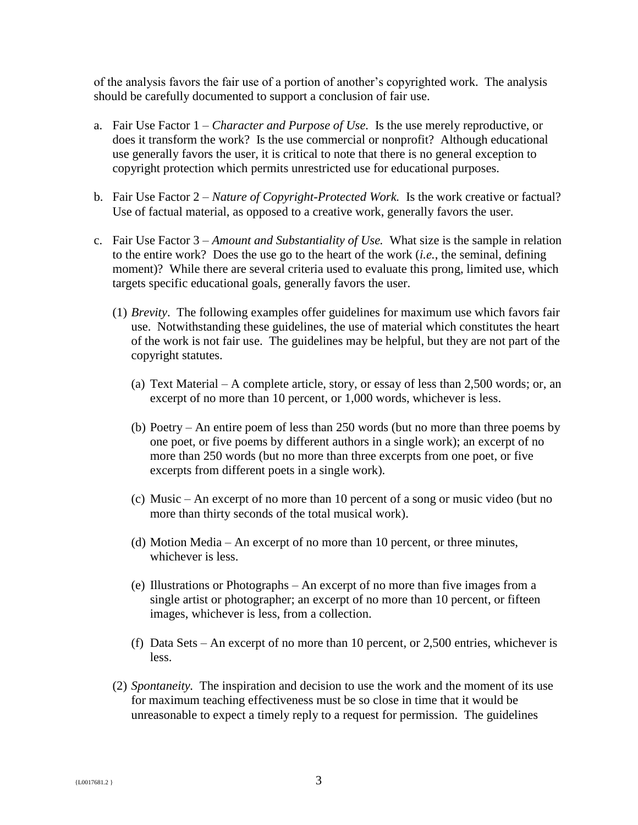of the analysis favors the fair use of a portion of another's copyrighted work. The analysis should be carefully documented to support a conclusion of fair use.

- a. Fair Use Factor 1 *Character and Purpose of Use.* Is the use merely reproductive, or does it transform the work? Is the use commercial or nonprofit? Although educational use generally favors the user, it is critical to note that there is no general exception to copyright protection which permits unrestricted use for educational purposes.
- b. Fair Use Factor 2 *Nature of Copyright-Protected Work.* Is the work creative or factual? Use of factual material, as opposed to a creative work, generally favors the user.
- c. Fair Use Factor 3 *Amount and Substantiality of Use.* What size is the sample in relation to the entire work? Does the use go to the heart of the work (*i.e.*, the seminal, defining moment)? While there are several criteria used to evaluate this prong, limited use, which targets specific educational goals, generally favors the user.
	- (1) *Brevity*. The following examples offer guidelines for maximum use which favors fair use. Notwithstanding these guidelines, the use of material which constitutes the heart of the work is not fair use. The guidelines may be helpful, but they are not part of the copyright statutes.
		- (a) Text Material A complete article, story, or essay of less than 2,500 words; or, an excerpt of no more than 10 percent, or 1,000 words, whichever is less.
		- (b) Poetry An entire poem of less than 250 words (but no more than three poems by one poet, or five poems by different authors in a single work); an excerpt of no more than 250 words (but no more than three excerpts from one poet, or five excerpts from different poets in a single work).
		- (c) Music An excerpt of no more than 10 percent of a song or music video (but no more than thirty seconds of the total musical work).
		- (d) Motion Media An excerpt of no more than 10 percent, or three minutes, whichever is less.
		- (e) Illustrations or Photographs An excerpt of no more than five images from a single artist or photographer; an excerpt of no more than 10 percent, or fifteen images, whichever is less, from a collection.
		- (f) Data Sets An excerpt of no more than 10 percent, or 2,500 entries, whichever is less.
	- (2) *Spontaneity.* The inspiration and decision to use the work and the moment of its use for maximum teaching effectiveness must be so close in time that it would be unreasonable to expect a timely reply to a request for permission. The guidelines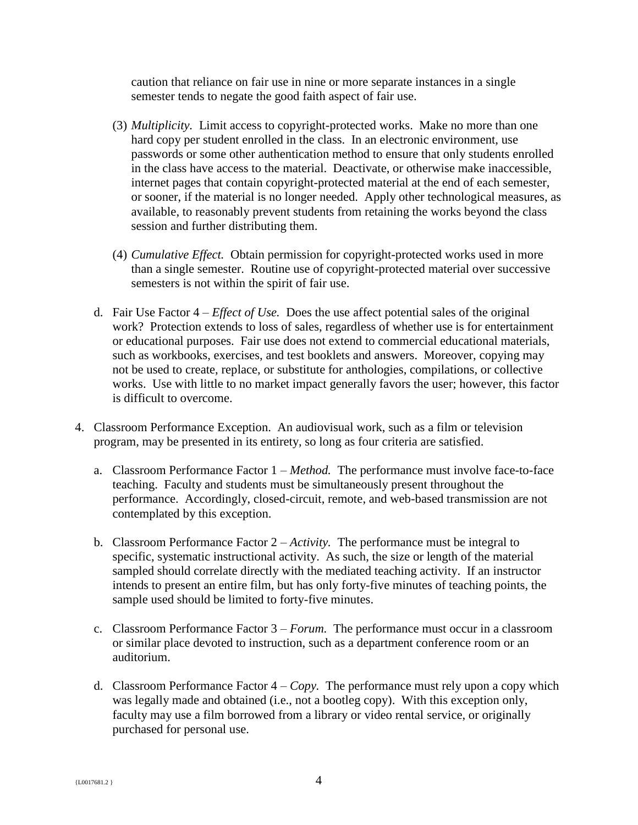caution that reliance on fair use in nine or more separate instances in a single semester tends to negate the good faith aspect of fair use.

- (3) *Multiplicity.* Limit access to copyright-protected works. Make no more than one hard copy per student enrolled in the class. In an electronic environment, use passwords or some other authentication method to ensure that only students enrolled in the class have access to the material. Deactivate, or otherwise make inaccessible, internet pages that contain copyright-protected material at the end of each semester, or sooner, if the material is no longer needed. Apply other technological measures, as available, to reasonably prevent students from retaining the works beyond the class session and further distributing them.
- (4) *Cumulative Effect.* Obtain permission for copyright-protected works used in more than a single semester. Routine use of copyright-protected material over successive semesters is not within the spirit of fair use.
- d. Fair Use Factor 4 *Effect of Use.* Does the use affect potential sales of the original work? Protection extends to loss of sales, regardless of whether use is for entertainment or educational purposes. Fair use does not extend to commercial educational materials, such as workbooks, exercises, and test booklets and answers. Moreover, copying may not be used to create, replace, or substitute for anthologies, compilations, or collective works. Use with little to no market impact generally favors the user; however, this factor is difficult to overcome.
- 4. Classroom Performance Exception. An audiovisual work, such as a film or television program, may be presented in its entirety, so long as four criteria are satisfied.
	- a. Classroom Performance Factor 1 *Method.* The performance must involve face-to-face teaching. Faculty and students must be simultaneously present throughout the performance. Accordingly, closed-circuit, remote, and web-based transmission are not contemplated by this exception.
	- b. Classroom Performance Factor 2 *Activity.* The performance must be integral to specific, systematic instructional activity. As such, the size or length of the material sampled should correlate directly with the mediated teaching activity. If an instructor intends to present an entire film, but has only forty-five minutes of teaching points, the sample used should be limited to forty-five minutes.
	- c. Classroom Performance Factor 3 *Forum.* The performance must occur in a classroom or similar place devoted to instruction, such as a department conference room or an auditorium.
	- d. Classroom Performance Factor  $4 Copy$ . The performance must rely upon a copy which was legally made and obtained (i.e., not a bootleg copy). With this exception only, faculty may use a film borrowed from a library or video rental service, or originally purchased for personal use.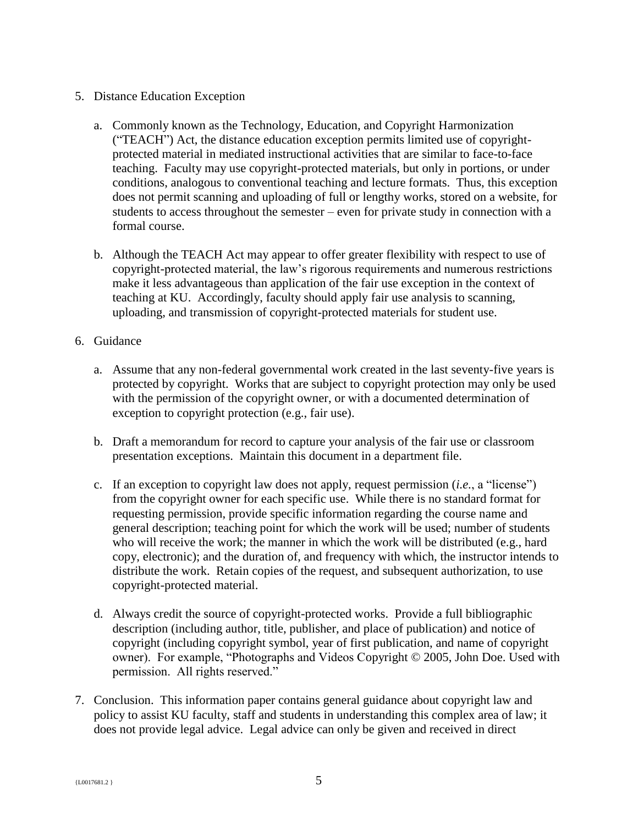## 5. Distance Education Exception

- a. Commonly known as the Technology, Education, and Copyright Harmonization ("TEACH") Act, the distance education exception permits limited use of copyrightprotected material in mediated instructional activities that are similar to face-to-face teaching. Faculty may use copyright-protected materials, but only in portions, or under conditions, analogous to conventional teaching and lecture formats. Thus, this exception does not permit scanning and uploading of full or lengthy works, stored on a website, for students to access throughout the semester – even for private study in connection with a formal course.
- b. Although the TEACH Act may appear to offer greater flexibility with respect to use of copyright-protected material, the law's rigorous requirements and numerous restrictions make it less advantageous than application of the fair use exception in the context of teaching at KU. Accordingly, faculty should apply fair use analysis to scanning, uploading, and transmission of copyright-protected materials for student use.
- 6. Guidance
	- a. Assume that any non-federal governmental work created in the last seventy-five years is protected by copyright. Works that are subject to copyright protection may only be used with the permission of the copyright owner, or with a documented determination of exception to copyright protection (e.g., fair use).
	- b. Draft a memorandum for record to capture your analysis of the fair use or classroom presentation exceptions. Maintain this document in a department file.
	- c. If an exception to copyright law does not apply, request permission (*i.e.*, a "license") from the copyright owner for each specific use. While there is no standard format for requesting permission, provide specific information regarding the course name and general description; teaching point for which the work will be used; number of students who will receive the work; the manner in which the work will be distributed (e.g., hard copy, electronic); and the duration of, and frequency with which, the instructor intends to distribute the work. Retain copies of the request, and subsequent authorization, to use copyright-protected material.
	- d. Always credit the source of copyright-protected works. Provide a full bibliographic description (including author, title, publisher, and place of publication) and notice of copyright (including copyright symbol, year of first publication, and name of copyright owner). For example, "Photographs and Videos Copyright © 2005, John Doe. Used with permission. All rights reserved."
- 7. Conclusion. This information paper contains general guidance about copyright law and policy to assist KU faculty, staff and students in understanding this complex area of law; it does not provide legal advice. Legal advice can only be given and received in direct